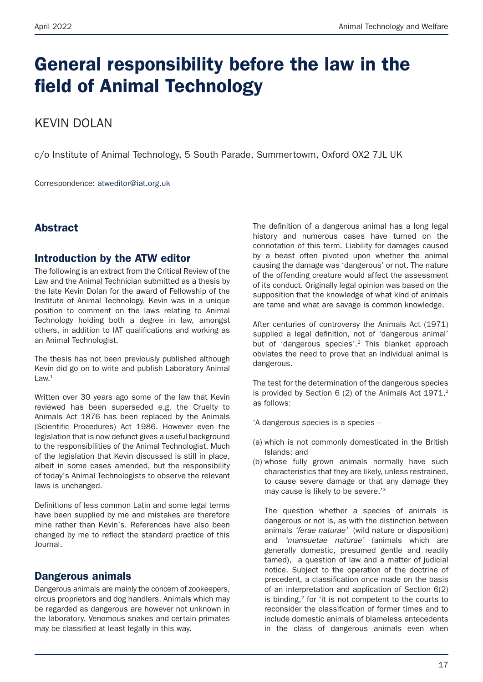# General responsibility before the law in the field of Animal Technology

# KEVIN DOLAN

c/o Institute of Animal Technology, 5 South Parade, Summertowm, Oxford OX2 7JL UK

Correspondence: atweditor@iat.org.uk

# **Abstract**

### Introduction by the ATW editor

The following is an extract from the Critical Review of the Law and the Animal Technician submitted as a thesis by the late Kevin Dolan for the award of Fellowship of the Institute of Animal Technology. Kevin was in a unique position to comment on the laws relating to Animal Technology holding both a degree in law, amongst others, in addition to IAT qualifications and working as an Animal Technologist.

The thesis has not been previously published although Kevin did go on to write and publish Laboratory Animal  $l$  aw  $1$ 

Written over 30 years ago some of the law that Kevin reviewed has been superseded e.g. the Cruelty to Animals Act 1876 has been replaced by the Animals (Scientific Procedures) Act 1986. However even the legislation that is now defunct gives a useful background to the responsibilities of the Animal Technologist. Much of the legislation that Kevin discussed is still in place, albeit in some cases amended, but the responsibility of today's Animal Technologists to observe the relevant laws is unchanged.

Definitions of less common Latin and some legal terms have been supplied by me and mistakes are therefore mine rather than Kevin's. References have also been changed by me to reflect the standard practice of this Journal.

# Dangerous animals

Dangerous animals are mainly the concern of zookeepers, circus proprietors and dog handlers. Animals which may be regarded as dangerous are however not unknown in the laboratory. Venomous snakes and certain primates may be classified at least legally in this way.

The definition of a dangerous animal has a long legal history and numerous cases have turned on the connotation of this term. Liability for damages caused by a beast often pivoted upon whether the animal causing the damage was 'dangerous' or not. The nature of the offending creature would affect the assessment of its conduct. Originally legal opinion was based on the supposition that the knowledge of what kind of animals are tame and what are savage is common knowledge.

After centuries of controversy the Animals Act (1971) supplied a legal definition, not of 'dangerous animal' but of 'dangerous species'.2 This blanket approach obviates the need to prove that an individual animal is dangerous.

The test for the determination of the dangerous species is provided by Section 6 (2) of the Animals Act  $1971$ ,<sup>2</sup> as follows:

'A dangerous species is a species –

- (a) which is not commonly domesticated in the British Islands; and
- (b) whose fully grown animals normally have such characteristics that they are likely, unless restrained, to cause severe damage or that any damage they may cause is likely to be severe.'3

The question whether a species of animals is dangerous or not is, as with the distinction between animals *'ferae naturae'* (wild nature or disposition) and *'mansuetae naturae'* (animals which are generally domestic, presumed gentle and readily tamed), a question of law and a matter of judicial notice. Subject to the operation of the doctrine of precedent, a classification once made on the basis of an interpretation and application of Section 6(2) is binding,<sup>2</sup> for 'it is not competent to the courts to reconsider the classification of former times and to include domestic animals of blameless antecedents in the class of dangerous animals even when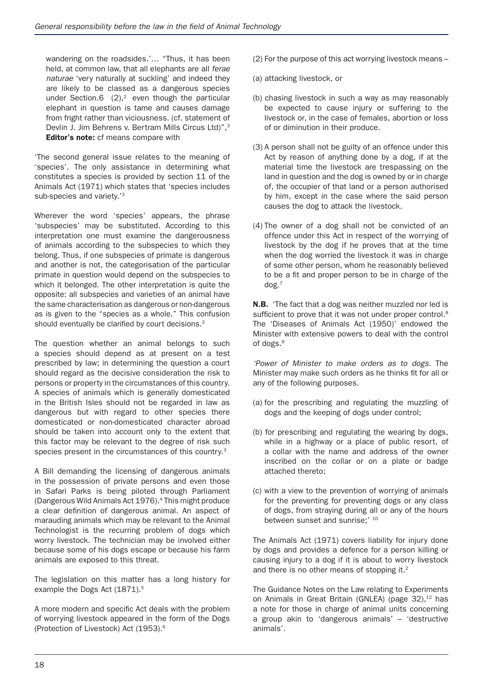wandering on the roadsides.'… "Thus, it has been held, at common law, that all elephants are all *ferae naturae* 'very naturally at suckling' and indeed they are likely to be classed as a dangerous species under Section.6  $(2)$ ,<sup>2</sup> even though the particular elephant in question is tame and causes damage from fright rather than viciousness. (cf. statement of Devlin J. Jim Behrens v. Bertram Mills Circus Ltd)",<sup>3</sup> Editor's note: cf means compare with

'The second general issue relates to the meaning of 'species'. The only assistance in determining what constitutes a species is provided by section 11 of the Animals Act (1971) which states that 'species includes sub-species and variety.'<sup>3</sup>

Wherever the word 'species' appears, the phrase 'subspecies' may be substituted. According to this interpretation one must examine the dangerousness of animals according to the subspecies to which they belong. Thus, if one subspecies of primate is dangerous and another is not, the categorisation of the particular primate in question would depend on the subspecies to which it belonged. The other interpretation is quite the opposite: all subspecies and varieties of an animal have the same characterisation as dangerous or non-dangerous as is given to the "species as a whole." This confusion should eventually be clarified by court decisions.<sup>3</sup>

The question whether an animal belongs to such a species should depend as at present on a test prescribed by law; in determining the question a court should regard as the decisive consideration the risk to persons or property in the circumstances of this country. A species of animals which is generally domesticated in the British Isles should not be regarded in law as dangerous but with regard to other species there domesticated or non-domesticated character abroad should be taken into account only to the extent that this factor may be relevant to the degree of risk such species present in the circumstances of this country.<sup>3</sup>

A Bill demanding the licensing of dangerous animals in the possession of private persons and even those in Safari Parks is being piloted through Parliament (Dangerous Wild Animals Act 1976).<sup>4</sup> This might produce a clear definition of dangerous animal. An aspect of marauding animals which may be relevant to the Animal Technologist is the recurring problem of dogs which worry livestock. The technician may be involved either because some of his dogs escape or because his farm animals are exposed to this threat.

The legislation on this matter has a long history for example the Dogs Act (1871).<sup>5</sup>

A more modern and specific Act deals with the problem of worrying livestock appeared in the form of the Dogs (Protection of Livestock) Act (1953).6

- (2) For the purpose of this act worrying livestock means –
- (a) attacking livestock, or
- (b) chasing livestock in such a way as may reasonably be expected to cause injury or suffering to the livestock or, in the case of females, abortion or loss of or diminution in their produce.
- (3) A person shall not be guilty of an offence under this Act by reason of anything done by a dog, if at the material time the livestock are trespassing on the land in question and the dog is owned by or in charge of, the occupier of that land or a person authorised by him, except in the case where the said person causes the dog to attack the livestock.
- (4) The owner of a dog shall not be convicted of an offence under this Act in respect of the worrying of livestock by the dog if he proves that at the time when the dog worried the livestock it was in charge of some other person, whom he reasonably believed to be a fit and proper person to be in charge of the dog.7

N.B. 'The fact that a dog was neither muzzled nor led is sufficient to prove that it was not under proper control.<sup>8</sup> The 'Diseases of Animals Act (1950)' endowed the Minister with extensive powers to deal with the control of dogs.<sup>9</sup>

*'Power of Minister to make orders as to dogs.* The Minister may make such orders as he thinks fit for all or any of the following purposes.

- (a) for the prescribing and regulating the muzzling of dogs and the keeping of dogs under control;
- (b) for prescribing and regulating the wearing by dogs, while in a highway or a place of public resort, of a collar with the name and address of the owner inscribed on the collar or on a plate or badge attached thereto;
- (c) with a view to the prevention of worrying of animals for the preventing for preventing dogs or any class of dogs, from straying during all or any of the hours between sunset and sunrise:' 10

The Animals Act (1971) covers liability for injury done by dogs and provides a defence for a person killing or causing injury to a dog if it is about to worry livestock and there is no other means of stopping it.<sup>2</sup>

The Guidance Notes on the Law relating to Experiments on Animals in Great Britain (GNLEA) (page  $32$ ),  $12$  has a note for those in charge of animal units concerning a group akin to 'dangerous animals' – 'destructive animals'.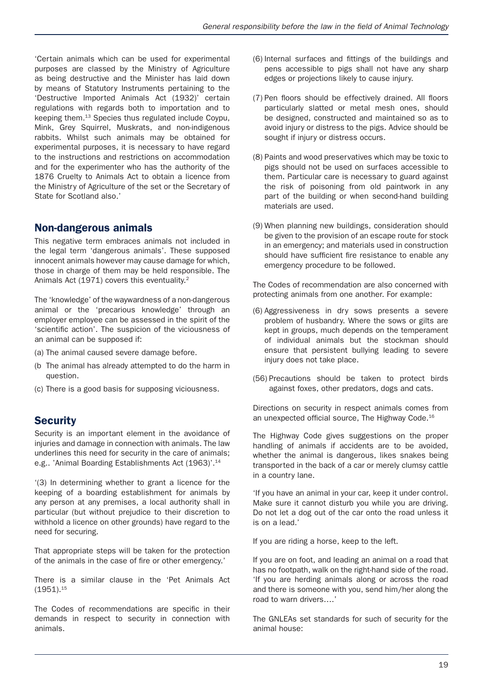'Certain animals which can be used for experimental purposes are classed by the Ministry of Agriculture as being destructive and the Minister has laid down by means of Statutory Instruments pertaining to the 'Destructive Imported Animals Act (1932)' certain regulations with regards both to importation and to keeping them.13 Species thus regulated include Coypu, Mink, Grey Squirrel, Muskrats, and non-indigenous rabbits. Whilst such animals may be obtained for experimental purposes, it is necessary to have regard to the instructions and restrictions on accommodation and for the experimenter who has the authority of the 1876 Cruelty to Animals Act to obtain a licence from the Ministry of Agriculture of the set or the Secretary of State for Scotland also.'

# Non-dangerous animals

This negative term embraces animals not included in the legal term 'dangerous animals'. These supposed innocent animals however may cause damage for which, those in charge of them may be held responsible. The Animals Act (1971) covers this eventuality.<sup>2</sup>

The 'knowledge' of the waywardness of a non-dangerous animal or the 'precarious knowledge' through an employer employee can be assessed in the spirit of the 'scientific action'. The suspicion of the viciousness of an animal can be supposed if:

- (a) The animal caused severe damage before.
- (b The animal has already attempted to do the harm in question.
- (c) There is a good basis for supposing viciousness.

# **Security**

Security is an important element in the avoidance of injuries and damage in connection with animals. The law underlines this need for security in the care of animals; e.g.. 'Animal Boarding Establishments Act (1963)'.<sup>14</sup>

'(3) In determining whether to grant a licence for the keeping of a boarding establishment for animals by any person at any premises, a local authority shall in particular (but without prejudice to their discretion to withhold a licence on other grounds) have regard to the need for securing.

That appropriate steps will be taken for the protection of the animals in the case of fire or other emergency.'

There is a similar clause in the 'Pet Animals Act  $(1951).$ <sup>15</sup>

The Codes of recommendations are specific in their demands in respect to security in connection with animals.

- (6) Internal surfaces and fittings of the buildings and pens accessible to pigs shall not have any sharp edges or projections likely to cause injury.
- (7) Pen floors should be effectively drained. All floors particularly slatted or metal mesh ones, should be designed, constructed and maintained so as to avoid injury or distress to the pigs. Advice should be sought if injury or distress occurs.
- (8) Paints and wood preservatives which may be toxic to pigs should not be used on surfaces accessible to them. Particular care is necessary to guard against the risk of poisoning from old paintwork in any part of the building or when second-hand building materials are used.
- (9) When planning new buildings, consideration should be given to the provision of an escape route for stock in an emergency; and materials used in construction should have sufficient fire resistance to enable any emergency procedure to be followed.

The Codes of recommendation are also concerned with protecting animals from one another. For example:

- (6) Aggressiveness in dry sows presents a severe problem of husbandry. Where the sows or gilts are kept in groups, much depends on the temperament of individual animals but the stockman should ensure that persistent bullying leading to severe injury does not take place.
- (56) Precautions should be taken to protect birds against foxes, other predators, dogs and cats.

Directions on security in respect animals comes from an unexpected official source, The Highway Code.16

The Highway Code gives suggestions on the proper handling of animals if accidents are to be avoided, whether the animal is dangerous, likes snakes being transported in the back of a car or merely clumsy cattle in a country lane.

'If you have an animal in your car, keep it under control. Make sure it cannot disturb you while you are driving. Do not let a dog out of the car onto the road unless it is on a lead.'

If you are riding a horse, keep to the left.

If you are on foot, and leading an animal on a road that has no footpath, walk on the right-hand side of the road. 'If you are herding animals along or across the road and there is someone with you, send him/her along the road to warn drivers….'

The GNLEAs set standards for such of security for the animal house: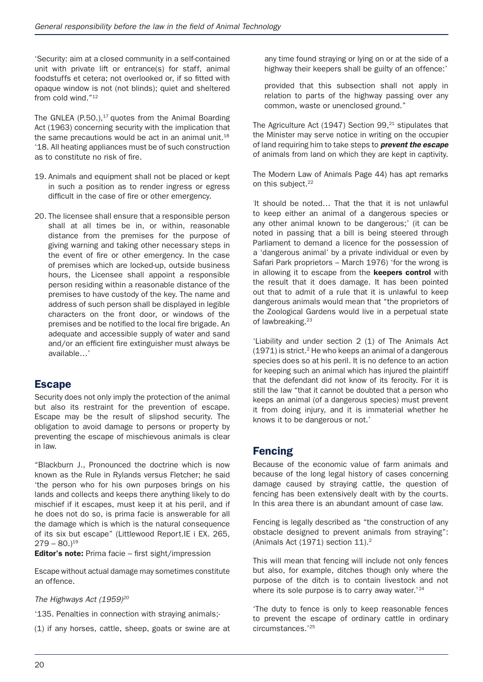'Security: aim at a closed community in a self-contained unit with private lift or entrance(s) for staff, animal foodstuffs et cetera; not overlooked or, if so fitted with opaque window is not (not blinds); quiet and sheltered from cold wind."12

The GNLEA  $(P.50.)$ ,<sup>17</sup> quotes from the Animal Boarding Act (1963) concerning security with the implication that the same precautions would be act in an animal unit.<sup>18</sup> '18. All heating appliances must be of such construction as to constitute no risk of fire.

- 19. Animals and equipment shall not be placed or kept in such a position as to render ingress or egress difficult in the case of fire or other emergency.
- 20. The licensee shall ensure that a responsible person shall at all times be in, or within, reasonable distance from the premises for the purpose of giving warning and taking other necessary steps in the event of fire or other emergency. In the case of premises which are locked-up, outside business hours, the Licensee shall appoint a responsible person residing within a reasonable distance of the premises to have custody of the key. The name and address of such person shall be displayed in legible characters on the front door, or windows of the premises and be notified to the local fire brigade. An adequate and accessible supply of water and sand and/or an efficient fire extinguisher must always be available…'

### Escape

Security does not only imply the protection of the animal but also its restraint for the prevention of escape. Escape may be the result of slipshod security. The obligation to avoid damage to persons or property by preventing the escape of mischievous animals is clear in law.

"Blackburn J., Pronounced the doctrine which is now known as the Rule in Rylands versus Fletcher; he said 'the person who for his own purposes brings on his lands and collects and keeps there anything likely to do mischief if it escapes, must keep it at his peril, and if he does not do so, is prima facie is answerable for all the damage which is which is the natural consequence of its six but escape" (Littlewood Report.IE i EX. 265,  $279 - 80.119$ 

Editor's note: Prima facie – first sight/impression

Escape without actual damage may sometimes constitute an offence.

#### *The Highways Act (1959)20*

'135. Penalties in connection with straying animals;-

(1) if any horses, cattle, sheep, goats or swine are at

any time found straying or lying on or at the side of a highway their keepers shall be guilty of an offence:'

provided that this subsection shall not apply in relation to parts of the highway passing over any common, waste or unenclosed ground."

The Agriculture Act  $(1947)$  Section 99,<sup>21</sup> stipulates that the Minister may serve notice in writing on the occupier of land requiring him to take steps to *prevent the escape* of animals from land on which they are kept in captivity.

The Modern Law of Animals Page 44) has apt remarks on this subject.<sup>22</sup>

' It should be noted… That the that it is not unlawful to keep either an animal of a dangerous species or any other animal known to be dangerous;' (it can be noted in passing that a bill is being steered through Parliament to demand a licence for the possession of a 'dangerous animal' by a private individual or even by Safari Park proprietors – March 1976) 'for the wrong is in allowing it to escape from the **keepers control** with the result that it does damage. It has been pointed out that to admit of a rule that it is unlawful to keep dangerous animals would mean that "the proprietors of the Zoological Gardens would live in a perpetual state of lawbreaking.<sup>23</sup>

'Liability and under section 2 (1) of The Animals Act  $(1971)$  is strict.<sup>2</sup> He who keeps an animal of a dangerous species does so at his peril. It is no defence to an action for keeping such an animal which has injured the plaintiff that the defendant did not know of its ferocity. For it is still the law "that it cannot be doubted that a person who keeps an animal (of a dangerous species) must prevent it from doing injury, and it is immaterial whether he knows it to be dangerous or not.'

### Fencing

Because of the economic value of farm animals and because of the long legal history of cases concerning damage caused by straying cattle, the question of fencing has been extensively dealt with by the courts. In this area there is an abundant amount of case law.

Fencing is legally described as "the construction of any obstacle designed to prevent animals from straying": (Animals Act  $(1971)$  section  $11$ ).<sup>2</sup>

This will mean that fencing will include not only fences but also, for example, ditches though only where the purpose of the ditch is to contain livestock and not where its sole purpose is to carry away water.<sup>'24</sup>

'The duty to fence is only to keep reasonable fences to prevent the escape of ordinary cattle in ordinary circumstances.'25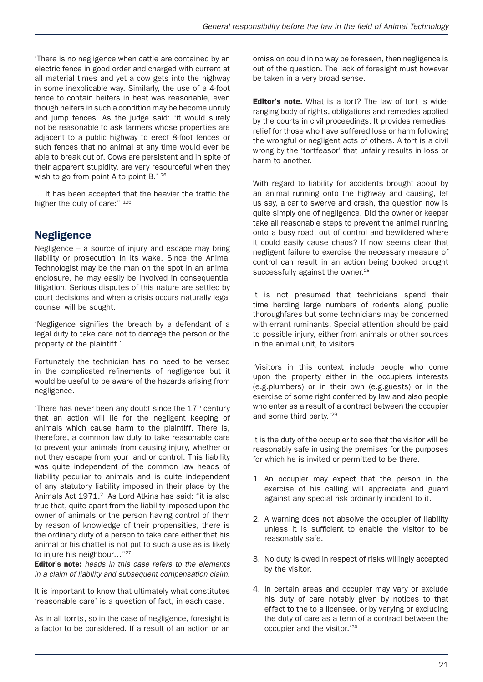'There is no negligence when cattle are contained by an electric fence in good order and charged with current at all material times and yet a cow gets into the highway in some inexplicable way. Similarly, the use of a 4-foot fence to contain heifers in heat was reasonable, even though heifers in such a condition may be become unruly and jump fences. As the judge said: 'it would surely not be reasonable to ask farmers whose properties are adjacent to a public highway to erect 8-foot fences or such fences that no animal at any time would ever be able to break out of. Cows are persistent and in spite of their apparent stupidity, are very resourceful when they wish to go from point A to point B.' 26

… It has been accepted that the heavier the traffic the higher the duty of care:" 126

# Negligence

Negligence – a source of injury and escape may bring liability or prosecution in its wake. Since the Animal Technologist may be the man on the spot in an animal enclosure, he may easily be involved in consequential litigation. Serious disputes of this nature are settled by court decisions and when a crisis occurs naturally legal counsel will be sought.

'Negligence signifies the breach by a defendant of a legal duty to take care not to damage the person or the property of the plaintiff.'

Fortunately the technician has no need to be versed in the complicated refinements of negligence but it would be useful to be aware of the hazards arising from negligence.

'There has never been any doubt since the  $17<sup>th</sup>$  century that an action will lie for the negligent keeping of animals which cause harm to the plaintiff. There is, therefore, a common law duty to take reasonable care to prevent your animals from causing injury, whether or not they escape from your land or control. This liability was quite independent of the common law heads of liability peculiar to animals and is quite independent of any statutory liability imposed in their place by the Animals Act 1971.<sup>2</sup> As Lord Atkins has said: "it is also true that, quite apart from the liability imposed upon the owner of animals or the person having control of them by reason of knowledge of their propensities, there is the ordinary duty of a person to take care either that his animal or his chattel is not put to such a use as is likely to injure his neighbour..."<sup>27</sup>

Editor's note: *heads in this case refers to the elements in a claim of liability and subsequent compensation claim.*

It is important to know that ultimately what constitutes 'reasonable care' is a question of fact, in each case.

As in all torrts, so in the case of negligence, foresight is a factor to be considered. If a result of an action or an

omission could in no way be foreseen, then negligence is out of the question. The lack of foresight must however be taken in a very broad sense.

Editor's note. What is a tort? The law of tort is wideranging body of rights, obligations and remedies applied by the courts in civil proceedings. It provides remedies, relief for those who have suffered loss or harm following the wrongful or negligent acts of others. A tort is a civil wrong by the 'tortfeasor' that unfairly results in loss or harm to another.

With regard to liability for accidents brought about by an animal running onto the highway and causing, let us say, a car to swerve and crash, the question now is quite simply one of negligence. Did the owner or keeper take all reasonable steps to prevent the animal running onto a busy road, out of control and bewildered where it could easily cause chaos? If now seems clear that negligent failure to exercise the necessary measure of control can result in an action being booked brought successfully against the owner.<sup>28</sup>

It is not presumed that technicians spend their time herding large numbers of rodents along public thoroughfares but some technicians may be concerned with errant ruminants. Special attention should be paid to possible injury, either from animals or other sources in the animal unit, to visitors.

'Visitors in this context include people who come upon the property either in the occupiers interests (e.g.plumbers) or in their own (e.g.guests) or in the exercise of some right conferred by law and also people who enter as a result of a contract between the occupier and some third party.'29

It is the duty of the occupier to see that the visitor will be reasonably safe in using the premises for the purposes for which he is invited or permitted to be there.

- 1. An occupier may expect that the person in the exercise of his calling will appreciate and guard against any special risk ordinarily incident to it.
- 2. A warning does not absolve the occupier of liability unless it is sufficient to enable the visitor to be reasonably safe.
- 3. No duty is owed in respect of risks willingly accepted by the visitor.
- 4. In certain areas and occupier may vary or exclude his duty of care notably given by notices to that effect to the to a licensee, or by varying or excluding the duty of care as a term of a contract between the occupier and the visitor.'30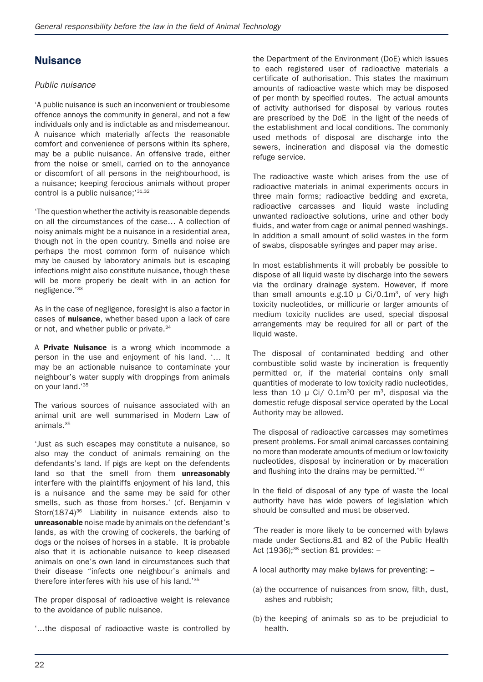# Nuisance

#### *Public nuisance*

'A public nuisance is such an inconvenient or troublesome offence annoys the community in general, and not a few individuals only and is indictable as and misdemeanour. A nuisance which materially affects the reasonable comfort and convenience of persons within its sphere, may be a public nuisance. An offensive trade, either from the noise or smell, carried on to the annoyance or discomfort of all persons in the neighbourhood, is a nuisance; keeping ferocious animals without proper control is a public nuisance;<sup>'31,32</sup>

'The question whether the activity is reasonable depends on all the circumstances of the case… A collection of noisy animals might be a nuisance in a residential area, though not in the open country. Smells and noise are perhaps the most common form of nuisance which may be caused by laboratory animals but is escaping infections might also constitute nuisance, though these will be more properly be dealt with in an action for negligence.'33

As in the case of negligence, foresight is also a factor in cases of nuisance, whether based upon a lack of care or not, and whether public or private.<sup>34</sup>

A Private Nuisance is a wrong which incommode a person in the use and enjoyment of his land. '… It may be an actionable nuisance to contaminate your neighbour's water supply with droppings from animals on your land.'35

The various sources of nuisance associated with an animal unit are well summarised in Modern Law of animals.35

'Just as such escapes may constitute a nuisance, so also may the conduct of animals remaining on the defendants's land. If pigs are kept on the defendents land so that the smell from them unreasonably interfere with the plaintiffs enjoyment of his land, this is a nuisance and the same may be said for other smells, such as those from horses.' (cf. Benjamin v Storr(1874)<sup>36</sup> Liability in nuisance extends also to unreasonable noise made by animals on the defendant's lands, as with the crowing of cockerels, the barking of dogs or the noises of horses in a stable. It is probable also that it is actionable nuisance to keep diseased animals on one's own land in circumstances such that their disease "infects one neighbour's animals and therefore interferes with his use of his land.'35

The proper disposal of radioactive weight is relevance to the avoidance of public nuisance.

'…the disposal of radioactive waste is controlled by

the Department of the Environment (DoE) which issues to each registered user of radioactive materials a certificate of authorisation. This states the maximum amounts of radioactive waste which may be disposed of per month by specified routes. The actual amounts of activity authorised for disposal by various routes are prescribed by the DoE in the light of the needs of the establishment and local conditions. The commonly used methods of disposal are discharge into the sewers, incineration and disposal via the domestic refuge service.

The radioactive waste which arises from the use of radioactive materials in animal experiments occurs in three main forms; radioactive bedding and excreta, radioactive carcasses and liquid waste including unwanted radioactive solutions, urine and other body fluids, and water from cage or animal penned washings. In addition a small amount of solid wastes in the form of swabs, disposable syringes and paper may arise.

In most establishments it will probably be possible to dispose of all liquid waste by discharge into the sewers via the ordinary drainage system. However, if more than small amounts e.g.10  $\mu$  Ci/0.1m<sup>3</sup>, of very high toxicity nucleotides, or millicurie or larger amounts of medium toxicity nuclides are used, special disposal arrangements may be required for all or part of the liquid waste.

The disposal of contaminated bedding and other combustible solid waste by incineration is frequently permitted or, if the material contains only small quantities of moderate to low toxicity radio nucleotides, less than 10  $\mu$  Ci/ 0.1m<sup>3</sup>0 per m<sup>3</sup>, disposal via the domestic refuge disposal service operated by the Local Authority may be allowed.

The disposal of radioactive carcasses may sometimes present problems. For small animal carcasses containing no more than moderate amounts of medium or low toxicity nucleotides, disposal by incineration or by maceration and flushing into the drains may be permitted.'37

In the field of disposal of any type of waste the local authority have has wide powers of legislation which should be consulted and must be observed.

'The reader is more likely to be concerned with bylaws made under Sections.81 and 82 of the Public Health Act  $(1936);^{38}$  section 81 provides: -

A local authority may make bylaws for preventing: –

- (a) the occurrence of nuisances from snow, filth, dust, ashes and rubbish;
- (b) the keeping of animals so as to be prejudicial to health.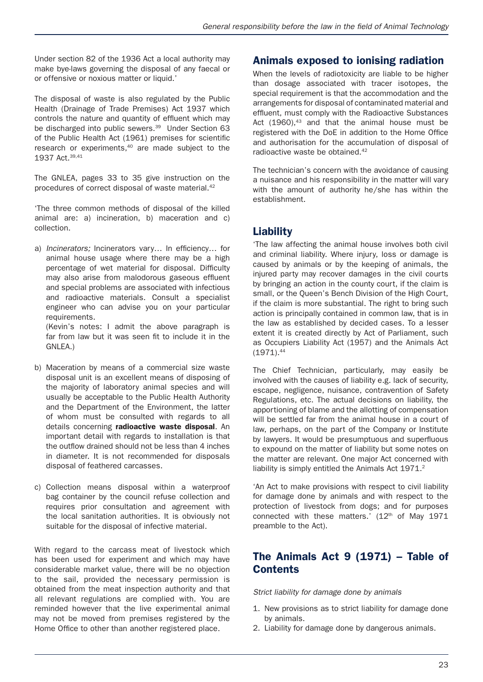Under section 82 of the 1936 Act a local authority may make bye-laws governing the disposal of any faecal or or offensive or noxious matter or liquid.'

The disposal of waste is also regulated by the Public Health (Drainage of Trade Premises) Act 1937 which controls the nature and quantity of effluent which may be discharged into public sewers.<sup>39</sup> Under Section 63 of the Public Health Act (1961) premises for scientific research or experiments,40 are made subject to the 1937 Act.39,41

The GNLEA, pages 33 to 35 give instruction on the procedures of correct disposal of waste material.<sup>42</sup>

'The three common methods of disposal of the killed animal are: a) incineration, b) maceration and c) collection.

a) *Incinerators;* Incinerators vary… In efficiency… for animal house usage where there may be a high percentage of wet material for disposal. Difficulty may also arise from malodorous gaseous effluent and special problems are associated with infectious and radioactive materials. Consult a specialist engineer who can advise you on your particular requirements. (Kevin's notes: I admit the above paragraph is

far from law but it was seen fit to include it in the GNLEA.)

- b) Maceration by means of a commercial size waste disposal unit is an excellent means of disposing of the majority of laboratory animal species and will usually be acceptable to the Public Health Authority and the Department of the Environment, the latter of whom must be consulted with regards to all details concerning radioactive waste disposal. An important detail with regards to installation is that the outflow drained should not be less than 4 inches in diameter. It is not recommended for disposals disposal of feathered carcasses.
- c) Collection means disposal within a waterproof bag container by the council refuse collection and requires prior consultation and agreement with the local sanitation authorities. It is obviously not suitable for the disposal of infective material.

With regard to the carcass meat of livestock which has been used for experiment and which may have considerable market value, there will be no objection to the sail, provided the necessary permission is obtained from the meat inspection authority and that all relevant regulations are complied with. You are reminded however that the live experimental animal may not be moved from premises registered by the Home Office to other than another registered place.

# Animals exposed to ionising radiation

When the levels of radiotoxicity are liable to be higher than dosage associated with tracer isotopes, the special requirement is that the accommodation and the arrangements for disposal of contaminated material and effluent, must comply with the Radioactive Substances Act  $(1960)^{43}$  and that the animal house must be registered with the DoE in addition to the Home Office and authorisation for the accumulation of disposal of radioactive waste be obtained.<sup>42</sup>

The technician's concern with the avoidance of causing a nuisance and his responsibility in the matter will vary with the amount of authority he/she has within the establishment.

# Liability

'The law affecting the animal house involves both civil and criminal liability. Where injury, loss or damage is caused by animals or by the keeping of animals, the injured party may recover damages in the civil courts by bringing an action in the county court, if the claim is small, or the Queen's Bench Division of the High Court, if the claim is more substantial. The right to bring such action is principally contained in common law, that is in the law as established by decided cases. To a lesser extent it is created directly by Act of Parliament, such as Occupiers Liability Act (1957) and the Animals Act  $(1971).<sup>44</sup>$ 

The Chief Technician, particularly, may easily be involved with the causes of liability e.g. lack of security, escape, negligence, nuisance, contravention of Safety Regulations, etc. The actual decisions on liability, the apportioning of blame and the allotting of compensation will be settled far from the animal house in a court of law, perhaps, on the part of the Company or Institute by lawyers. It would be presumptuous and superfluous to expound on the matter of liability but some notes on the matter are relevant. One major Act concerned with liability is simply entitled the Animals Act 1971.<sup>2</sup>

'An Act to make provisions with respect to civil liability for damage done by animals and with respect to the protection of livestock from dogs; and for purposes connected with these matters.'  $(12<sup>th</sup>$  of May 1971 preamble to the Act).

# The Animals Act 9 (1971) – Table of **Contents**

*Strict liability for damage done by animals*

- 1. New provisions as to strict liability for damage done by animals.
- 2. Liability for damage done by dangerous animals.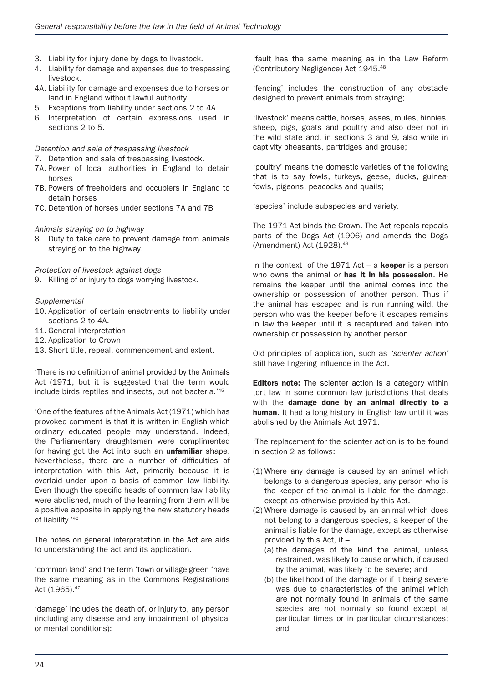- 3. Liability for injury done by dogs to livestock.
- 4. Liability for damage and expenses due to trespassing livestock.
- 4A. Liability for damage and expenses due to horses on land in England without lawful authority.
- 5. Exceptions from liability under sections 2 to 4A.
- 6. Interpretation of certain expressions used in sections 2 to 5.

#### *Detention and sale of trespassing livestock*

- 7. Detention and sale of trespassing livestock.
- 7A. Power of local authorities in England to detain horses
- 7B. Powers of freeholders and occupiers in England to detain horses
- 7C. Detention of horses under sections 7A and 7B

#### *Animals straying on to highway*

8. Duty to take care to prevent damage from animals straying on to the highway.

*Protection of livestock against dogs*

9. Killing of or injury to dogs worrying livestock.

#### *Supplemental*

- 10. Application of certain enactments to liability under sections 2 to 4A.
- 11. General interpretation.
- 12. Application to Crown.
- 13. Short title, repeal, commencement and extent.

'There is no definition of animal provided by the Animals Act (1971, but it is suggested that the term would include birds reptiles and insects, but not bacteria.'45

'One of the features of the Animals Act (1971) which has provoked comment is that it is written in English which ordinary educated people may understand. Indeed, the Parliamentary draughtsman were complimented for having got the Act into such an **unfamiliar** shape. Nevertheless, there are a number of difficulties of interpretation with this Act, primarily because it is overlaid under upon a basis of common law liability. Even though the specific heads of common law liability were abolished, much of the learning from them will be a positive apposite in applying the new statutory heads of liability.'46

The notes on general interpretation in the Act are aids to understanding the act and its application.

'common land' and the term 'town or village green 'have the same meaning as in the Commons Registrations Act (1965).<sup>47</sup>

'damage' includes the death of, or injury to, any person (including any disease and any impairment of physical or mental conditions):

'fault has the same meaning as in the Law Reform (Contributory Negligence) Act 1945.48

'fencing' includes the construction of any obstacle designed to prevent animals from straying;

'livestock' means cattle, horses, asses, mules, hinnies, sheep, pigs, goats and poultry and also deer not in the wild state and, in sections 3 and 9, also while in captivity pheasants, partridges and grouse;

'poultry' means the domestic varieties of the following that is to say fowls, turkeys, geese, ducks, guineafowls, pigeons, peacocks and quails;

'species' include subspecies and variety.

The 1971 Act binds the Crown. The Act repeals repeals parts of the Dogs Act (1906) and amends the Dogs (Amendment) Act (1928).49

In the context of the 1971 Act – a **keeper** is a person who owns the animal or has it in his possession. He remains the keeper until the animal comes into the ownership or possession of another person. Thus if the animal has escaped and is run running wild, the person who was the keeper before it escapes remains in law the keeper until it is recaptured and taken into ownership or possession by another person.

Old principles of application, such as *'scienter action'* still have lingering influence in the Act.

**Editors note:** The scienter action is a category within tort law in some common law jurisdictions that deals with the damage done by an animal directly to a human. It had a long history in English law until it was abolished by the Animals Act 1971.

'The replacement for the scienter action is to be found in section 2 as follows:

- (1) Where any damage is caused by an animal which belongs to a dangerous species, any person who is the keeper of the animal is liable for the damage, except as otherwise provided by this Act.
- (2) Where damage is caused by an animal which does not belong to a dangerous species, a keeper of the animal is liable for the damage, except as otherwise provided by this Act, if –
	- (a) the damages of the kind the animal, unless restrained, was likely to cause or which, if caused by the animal, was likely to be severe; and
	- (b) the likelihood of the damage or if it being severe was due to characteristics of the animal which are not normally found in animals of the same species are not normally so found except at particular times or in particular circumstances; and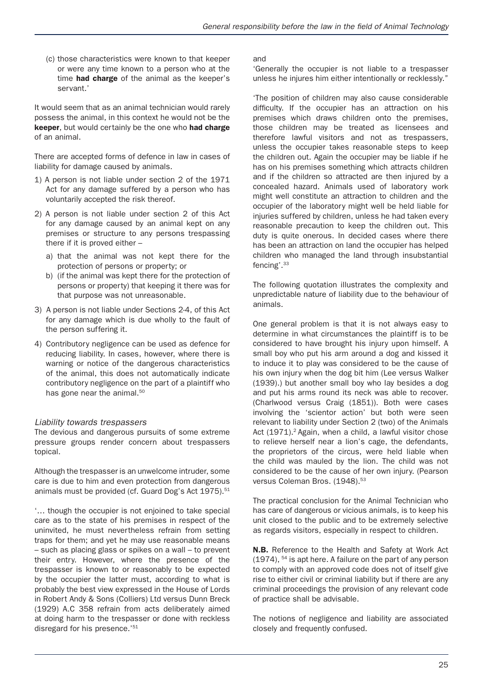(c) those characteristics were known to that keeper or were any time known to a person who at the time **had charge** of the animal as the keeper's servant.'

It would seem that as an animal technician would rarely possess the animal, in this context he would not be the keeper, but would certainly be the one who had charge of an animal.

There are accepted forms of defence in law in cases of liability for damage caused by animals.

- 1) A person is not liable under section 2 of the 1971 Act for any damage suffered by a person who has voluntarily accepted the risk thereof.
- 2) A person is not liable under section 2 of this Act for any damage caused by an animal kept on any premises or structure to any persons trespassing there if it is proved either –
	- a) that the animal was not kept there for the protection of persons or property; or
	- b) (if the animal was kept there for the protection of persons or property) that keeping it there was for that purpose was not unreasonable.
- 3) A person is not liable under Sections 2-4, of this Act for any damage which is due wholly to the fault of the person suffering it.
- 4) Contributory negligence can be used as defence for reducing liability. In cases, however, where there is warning or notice of the dangerous characteristics of the animal, this does not automatically indicate contributory negligence on the part of a plaintiff who has gone near the animal.<sup>50</sup>

#### *Liability towards trespassers*

The devious and dangerous pursuits of some extreme pressure groups render concern about trespassers topical.

Although the trespasser is an unwelcome intruder, some care is due to him and even protection from dangerous animals must be provided (cf. Guard Dog's Act 1975).<sup>51</sup>

'… though the occupier is not enjoined to take special care as to the state of his premises in respect of the uninvited, he must nevertheless refrain from setting traps for them; and yet he may use reasonable means – such as placing glass or spikes on a wall – to prevent their entry. However, where the presence of the trespasser is known to or reasonably to be expected by the occupier the latter must, according to what is probably the best view expressed in the House of Lords in Robert Andy & Sons (Colliers) Ltd versus Dunn Breck (1929) A.C 358 refrain from acts deliberately aimed at doing harm to the trespasser or done with reckless disregard for his presence.'<sup>51</sup>

and

'Generally the occupier is not liable to a trespasser unless he injures him either intentionally or recklessly."

'The position of children may also cause considerable difficulty. If the occupier has an attraction on his premises which draws children onto the premises, those children may be treated as licensees and therefore lawful visitors and not as trespassers, unless the occupier takes reasonable steps to keep the children out. Again the occupier may be liable if he has on his premises something which attracts children and if the children so attracted are then injured by a concealed hazard. Animals used of laboratory work might well constitute an attraction to children and the occupier of the laboratory might well be held liable for injuries suffered by children, unless he had taken every reasonable precaution to keep the children out. This duty is quite onerous. In decided cases where there has been an attraction on land the occupier has helped children who managed the land through insubstantial fencing'.33

The following quotation illustrates the complexity and unpredictable nature of liability due to the behaviour of animals.

One general problem is that it is not always easy to determine in what circumstances the plaintiff is to be considered to have brought his injury upon himself. A small boy who put his arm around a dog and kissed it to induce it to play was considered to be the cause of his own injury when the dog bit him (Lee versus Walker (1939).) but another small boy who lay besides a dog and put his arms round its neck was able to recover. (Charlwood versus Craig (1851)). Both were cases involving the 'scientor action' but both were seen relevant to liability under Section 2 (two) of the Animals Act (1971).<sup>2</sup> Again, when a child, a lawful visitor chose to relieve herself near a lion's cage, the defendants, the proprietors of the circus, were held liable when the child was mauled by the lion. The child was not considered to be the cause of her own injury. (Pearson versus Coleman Bros. (1948).<sup>53</sup>

The practical conclusion for the Animal Technician who has care of dangerous or vicious animals, is to keep his unit closed to the public and to be extremely selective as regards visitors, especially in respect to children.

N.B. Reference to the Health and Safety at Work Act (1974), 54 is apt here. A failure on the part of any person to comply with an approved code does not of itself give rise to either civil or criminal liability but if there are any criminal proceedings the provision of any relevant code of practice shall be advisable.

The notions of negligence and liability are associated closely and frequently confused.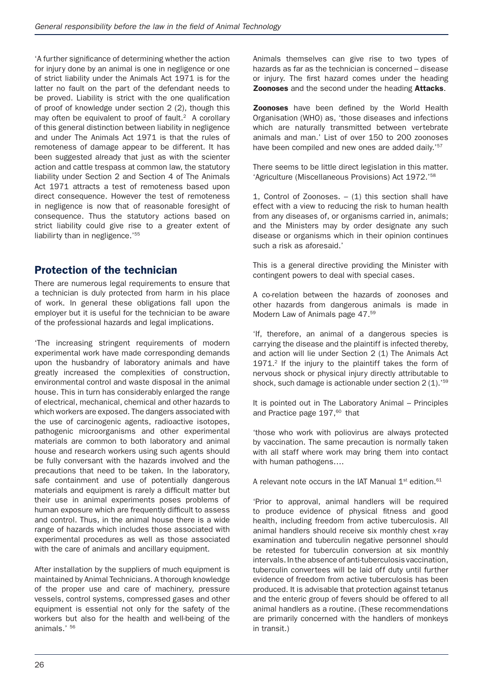'A further significance of determining whether the action for injury done by an animal is one in negligence or one of strict liability under the Animals Act 1971 is for the latter no fault on the part of the defendant needs to be proved. Liability is strict with the one qualification of proof of knowledge under section 2 (2), though this may often be equivalent to proof of fault.<sup>2</sup> A corollary of this general distinction between liability in negligence and under The Animals Act 1971 is that the rules of remoteness of damage appear to be different. It has been suggested already that just as with the scienter action and cattle trespass at common law, the statutory liability under Section 2 and Section 4 of The Animals Act 1971 attracts a test of remoteness based upon direct consequence. However the test of remoteness in negligence is now that of reasonable foresight of consequence. Thus the statutory actions based on strict liability could give rise to a greater extent of liabilirty than in negligence.'<sup>55</sup>

# Protection of the technician

There are numerous legal requirements to ensure that a technician is duly protected from harm in his place of work. In general these obligations fall upon the employer but it is useful for the technician to be aware of the professional hazards and legal implications.

'The increasing stringent requirements of modern experimental work have made corresponding demands upon the husbandry of laboratory animals and have greatly increased the complexities of construction, environmental control and waste disposal in the animal house. This in turn has considerably enlarged the range of electrical, mechanical, chemical and other hazards to which workers are exposed. The dangers associated with the use of carcinogenic agents, radioactive isotopes, pathogenic microorganisms and other experimental materials are common to both laboratory and animal house and research workers using such agents should be fully conversant with the hazards involved and the precautions that need to be taken. In the laboratory, safe containment and use of potentially dangerous materials and equipment is rarely a difficult matter but their use in animal experiments poses problems of human exposure which are frequently difficult to assess and control. Thus, in the animal house there is a wide range of hazards which includes those associated with experimental procedures as well as those associated with the care of animals and ancillary equipment.

After installation by the suppliers of much equipment is maintained by Animal Technicians. A thorough knowledge of the proper use and care of machinery, pressure vessels, control systems, compressed gases and other equipment is essential not only for the safety of the workers but also for the health and well-being of the animals.' 56

Animals themselves can give rise to two types of hazards as far as the technician is concerned – disease or injury. The first hazard comes under the heading **Zoonoses** and the second under the heading **Attacks**.

**Zoonoses** have been defined by the World Health Organisation (WHO) as, 'those diseases and infections which are naturally transmitted between vertebrate animals and man.' List of over 150 to 200 zoonoses have been compiled and new ones are added daily.'<sup>57</sup>

There seems to be little direct legislation in this matter. 'Agriculture (Miscellaneous Provisions) Act 1972.'58

1, Control of Zoonoses.  $-$  (1) this section shall have effect with a view to reducing the risk to human health from any diseases of, or organisms carried in, animals; and the Ministers may by order designate any such disease or organisms which in their opinion continues such a risk as aforesaid.'

This is a general directive providing the Minister with contingent powers to deal with special cases.

A co-relation between the hazards of zoonoses and other hazards from dangerous animals is made in Modern Law of Animals page 47.59

'If, therefore, an animal of a dangerous species is carrying the disease and the plaintiff is infected thereby, and action will lie under Section 2 (1) The Animals Act 1971.<sup>2</sup> If the injury to the plaintiff takes the form of nervous shock or physical injury directly attributable to shock, such damage is actionable under section 2 (1).<sup>'59</sup>

It is pointed out in The Laboratory Animal – Principles and Practice page 197.<sup>60</sup> that

'those who work with poliovirus are always protected by vaccination. The same precaution is normally taken with all staff where work may bring them into contact with human pathogens….

A relevant note occurs in the IAT Manual  $1<sup>st</sup>$  edition.<sup>61</sup>

'Prior to approval, animal handlers will be required to produce evidence of physical fitness and good health, including freedom from active tuberculosis. All animal handlers should receive six monthly chest x-ray examination and tuberculin negative personnel should be retested for tuberculin conversion at six monthly intervals. In the absence of anti-tuberculosis vaccination, tuberculin convertees will be laid off duty until further evidence of freedom from active tuberculosis has been produced. It is advisable that protection against tetanus and the enteric group of fevers should be offered to all animal handlers as a routine. (These recommendations are primarily concerned with the handlers of monkeys in transit.)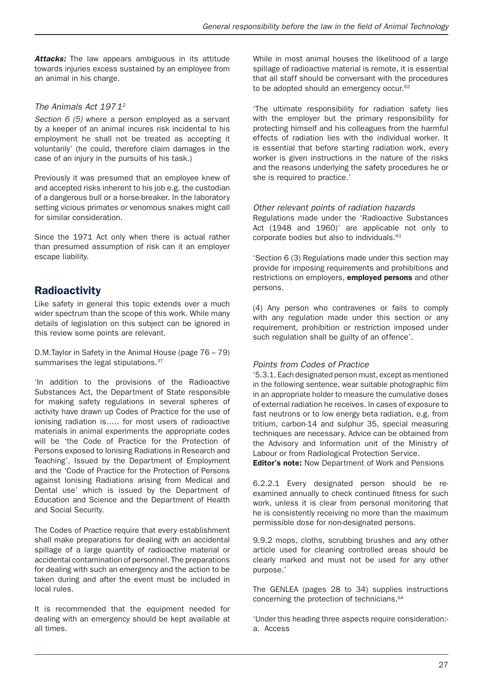**Attacks:** The law appears ambiguous in its attitude towards injuries excess sustained by an employee from an animal in his charge.

#### *The Animals Act 19712*

*Section 6 (5)* where a person employed as a servant by a keeper of an animal incures risk incidental to his employment he shall not be treated as accepting it voluntarily' (he could, therefore claim damages in the case of an injury in the pursuits of his task.)

Previously it was presumed that an employee knew of and accepted risks inherent to his job e.g. the custodian of a dangerous bull or a horse-breaker. In the laboratory setting vicious primates or venomous snakes might call for similar consideration.

Since the 1971 Act only when there is actual rather than presumed assumption of risk can it an employer escape liability.

# **Radioactivity**

Like safety in general this topic extends over a much wider spectrum than the scope of this work. While many details of legislation on this subject can be ignored in this review some points are relevant.

D.M.Taylor in Safety in the Animal House (page 76 – 79) summarises the legal stipulations.<sup>37</sup>

'In addition to the provisions of the Radioactive Substances Act, the Department of State responsible for making safety regulations in several spheres of activity have drawn up Codes of Practice for the use of ionising radiation is….. for most users of radioactive materials in animal experiments the appropriate codes will be 'the Code of Practice for the Protection of Persons exposed to Ionising Radiations in Research and Teaching'. Issued by the Department of Employment and the 'Code of Practice for the Protection of Persons against Ionising Radiations arising from Medical and Dental use' which is issued by the Department of Education and Science and the Department of Health and Social Security.

The Codes of Practice require that every establishment shall make preparations for dealing with an accidental spillage of a large quantity of radioactive material or accidental contamination of personnel. The preparations for dealing with such an emergency and the action to be taken during and after the event must be included in local rules.

It is recommended that the equipment needed for dealing with an emergency should be kept available at all times.

While in most animal houses the likelihood of a large spillage of radioactive material is remote, it is essential that all staff should be conversant with the procedures to be adopted should an emergency occur.<sup>62</sup>

'The ultimate responsibility for radiation safety lies with the employer but the primary responsibility for protecting himself and his colleagues from the harmful effects of radiation lies with the individual worker. It is essential that before starting radiation work, every worker is given instructions in the nature of the risks and the reasons underlying the safety procedures he or she is required to practice.'

#### *Other relevant points of radiation hazards*

Regulations made under the 'Radioactive Substances Act (1948 and 1960)' are applicable not only to corporate bodies but also to individuals.<sup>63</sup>

'Section 6 (3) Regulations made under this section may provide for imposing requirements and prohibitions and restrictions on employers, **employed persons** and other persons.

(4) Any person who contravenes or fails to comply with any regulation made under this section or any requirement, prohibition or restriction imposed under such regulation shall be guilty of an offence'.

#### *Points from Codes of Practice*

'5.3.1. Each designated person must, except as mentioned in the following sentence, wear suitable photographic film in an appropriate holder to measure the cumulative doses of external radiation he receives. In cases of exposure to fast neutrons or to low energy beta radiation, e.g. from tritium, carbon-14 and sulphur 35, special measuring techniques are necessary. Advice can be obtained from the Advisory and Information unit of the Ministry of Labour or from Radiological Protection Service. **Editor's note:** Now Department of Work and Pensions

6.2.2.1 Every designated person should be reexamined annually to check continued fitness for such work, unless it is clear from personal monitoring that he is consistently receiving no more than the maximum permissible dose for non-designated persons.

9.9.2 mops, cloths, scrubbing brushes and any other article used for cleaning controlled areas should be clearly marked and must not be used for any other purpose.'

The GENLEA (pages 28 to 34) supplies instructions concerning the protection of technicians.<sup>64</sup>

'Under this heading three aspects require consideration: a. Access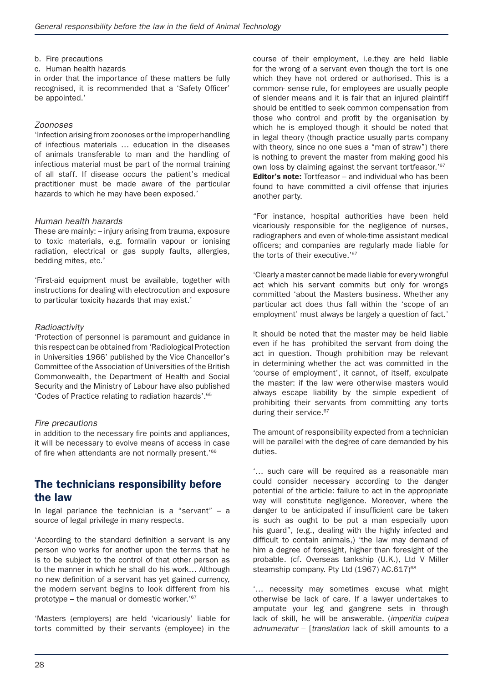- b. Fire precautions
- c. Human health hazards

in order that the importance of these matters be fully recognised, it is recommended that a 'Safety Officer' be appointed.'

#### *Zoonoses*

'Infection arising from zoonoses or the improper handling of infectious materials … education in the diseases of animals transferable to man and the handling of infectious material must be part of the normal training of all staff. If disease occurs the patient's medical practitioner must be made aware of the particular hazards to which he may have been exposed.'

#### *Human health hazards*

These are mainly: – injury arising from trauma, exposure to toxic materials, e.g. formalin vapour or ionising radiation, electrical or gas supply faults, allergies, bedding mites, etc.'

'First-aid equipment must be available, together with instructions for dealing with electrocution and exposure to particular toxicity hazards that may exist.'

#### *Radioactivity*

'Protection of personnel is paramount and guidance in this respect can be obtained from 'Radiological Protection in Universities 1966' published by the Vice Chancellor's Committee of the Association of Universities of the British Commonwealth, the Department of Health and Social Security and the Ministry of Labour have also published 'Codes of Practice relating to radiation hazards'.65

#### *Fire precautions*

in addition to the necessary fire points and appliances, it will be necessary to evolve means of access in case of fire when attendants are not normally present.<sup>'66</sup>

### The technicians responsibility before the law

In legal parlance the technician is a "servant" – a source of legal privilege in many respects.

'According to the standard definition a servant is any person who works for another upon the terms that he is to be subject to the control of that other person as to the manner in which he shall do his work… Although no new definition of a servant has yet gained currency, the modern servant begins to look different from his prototype – the manual or domestic worker.'67

'Masters (employers) are held 'vicariously' liable for torts committed by their servants (employee) in the course of their employment, i.e.they are held liable for the wrong of a servant even though the tort is one which they have not ordered or authorised. This is a common- sense rule, for employees are usually people of slender means and it is fair that an injured plaintiff should be entitled to seek common compensation from those who control and profit by the organisation by which he is employed though it should be noted that in legal theory (though practice usually parts company with theory, since no one sues a "man of straw") there is nothing to prevent the master from making good his own loss by claiming against the servant tortfeasor.'<sup>67</sup> **Editor's note:** Tortfeasor – and individual who has been found to have committed a civil offense that injuries another party.

"For instance, hospital authorities have been held vicariously responsible for the negligence of nurses, radiographers and even of whole-time assistant medical officers; and companies are regularly made liable for the torts of their executive.'<sup>67</sup>

'Clearly a master cannot be made liable for every wrongful act which his servant commits but only for wrongs committed 'about the Masters business. Whether any particular act does thus fall within the 'scope of an employment' must always be largely a question of fact.'

It should be noted that the master may be held liable even if he has prohibited the servant from doing the act in question. Though prohibition may be relevant in determining whether the act was committed in the 'course of employment', it cannot, of itself, exculpate the master: if the law were otherwise masters would always escape liability by the simple expedient of prohibiting their servants from committing any torts during their service.<sup>67</sup>

The amount of responsibility expected from a technician will be parallel with the degree of care demanded by his duties.

'… such care will be required as a reasonable man could consider necessary according to the danger potential of the article: failure to act in the appropriate way will constitute negligence. Moreover, where the danger to be anticipated if insufficient care be taken is such as ought to be put a man especially upon his guard", (e.g., dealing with the highly infected and difficult to contain animals,) 'the law may demand of him a degree of foresight, higher than foresight of the probable. (cf. Overseas tankship (U.K.), Ltd V Miller steamship company. Pty Ltd (1967) AC.617)<sup>68</sup>

'… necessity may sometimes excuse what might otherwise be lack of care. If a lawyer undertakes to amputate your leg and gangrene sets in through lack of skill, he will be answerable. (*imperitia culpea adnumeratur* – [*translation* lack of skill amounts to a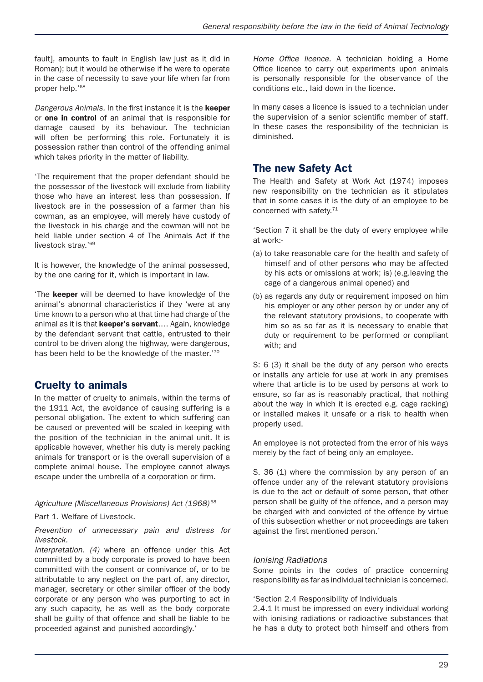fault], amounts to fault in English law just as it did in Roman); but it would be otherwise if he were to operate in the case of necessity to save your life when far from proper help.'68

*Dangerous Animals.* In the first instance it is the keeper or one in control of an animal that is responsible for damage caused by its behaviour. The technician will often be performing this role. Fortunately it is possession rather than control of the offending animal which takes priority in the matter of liability.

'The requirement that the proper defendant should be the possessor of the livestock will exclude from liability those who have an interest less than possession. If livestock are in the possession of a farmer than his cowman, as an employee, will merely have custody of the livestock in his charge and the cowman will not be held liable under section 4 of The Animals Act if the livestock stray.'<sup>69</sup>

It is however, the knowledge of the animal possessed, by the one caring for it, which is important in law.

'The keeper will be deemed to have knowledge of the animal's abnormal characteristics if they 'were at any time known to a person who at that time had charge of the animal as it is that **keeper's servant....** Again, knowledge by the defendant servant that cattle, entrusted to their control to be driven along the highway, were dangerous, has been held to be the knowledge of the master.'70

# Cruelty to animals

In the matter of cruelty to animals, within the terms of the 1911 Act, the avoidance of causing suffering is a personal obligation. The extent to which suffering can be caused or prevented will be scaled in keeping with the position of the technician in the animal unit. It is applicable however, whether his duty is merely packing animals for transport or is the overall supervision of a complete animal house. The employee cannot always escape under the umbrella of a corporation or firm.

#### *Agriculture (Miscellaneous Provisions) Act (1968)* <sup>58</sup>

Part 1. Welfare of Livestock.

*Prevention of unnecessary pain and distress for livestock.*

*Interpretation. (4)* where an offence under this Act committed by a body corporate is proved to have been committed with the consent or connivance of, or to be attributable to any neglect on the part of, any director, manager, secretary or other similar officer of the body corporate or any person who was purporting to act in any such capacity, he as well as the body corporate shall be guilty of that offence and shall be liable to be proceeded against and punished accordingly.'

*Home Office licence.* A technician holding a Home Office licence to carry out experiments upon animals is personally responsible for the observance of the conditions etc., laid down in the licence.

In many cases a licence is issued to a technician under the supervision of a senior scientific member of staff. In these cases the responsibility of the technician is diminished.

# The new Safety Act

The Health and Safety at Work Act (1974) imposes new responsibility on the technician as it stipulates that in some cases it is the duty of an employee to be concerned with safety.<sup>71</sup>

'Section 7 it shall be the duty of every employee while at work:-

- (a) to take reasonable care for the health and safety of himself and of other persons who may be affected by his acts or omissions at work; is) (e.g.leaving the cage of a dangerous animal opened) and
- (b) as regards any duty or requirement imposed on him his employer or any other person by or under any of the relevant statutory provisions, to cooperate with him so as so far as it is necessary to enable that duty or requirement to be performed or compliant with; and

S: 6 (3) it shall be the duty of any person who erects or installs any article for use at work in any premises where that article is to be used by persons at work to ensure, so far as is reasonably practical, that nothing about the way in which it is erected e.g. cage racking) or installed makes it unsafe or a risk to health when properly used.

An employee is not protected from the error of his ways merely by the fact of being only an employee.

S. 36 (1) where the commission by any person of an offence under any of the relevant statutory provisions is due to the act or default of some person, that other person shall be guilty of the offence, and a person may be charged with and convicted of the offence by virtue of this subsection whether or not proceedings are taken against the first mentioned person.'

### *Ionising Radiations*

Some points in the codes of practice concerning responsibility as far as individual technician is concerned.

#### 'Section 2.4 Responsibility of Individuals

2.4.1 It must be impressed on every individual working with ionising radiations or radioactive substances that he has a duty to protect both himself and others from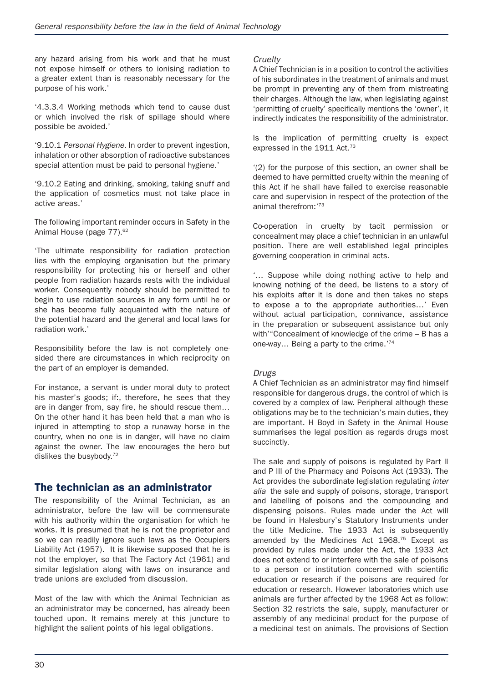any hazard arising from his work and that he must not expose himself or others to ionising radiation to a greater extent than is reasonably necessary for the purpose of his work.'

'4.3.3.4 Working methods which tend to cause dust or which involved the risk of spillage should where possible be avoided.'

'9.10.1 *Personal Hygiene*. In order to prevent ingestion, inhalation or other absorption of radioactive substances special attention must be paid to personal hygiene.'

'9.10.2 Eating and drinking, smoking, taking snuff and the application of cosmetics must not take place in active areas.'

The following important reminder occurs in Safety in the Animal House (page 77).<sup>62</sup>

'The ultimate responsibility for radiation protection lies with the employing organisation but the primary responsibility for protecting his or herself and other people from radiation hazards rests with the individual worker. Consequently nobody should be permitted to begin to use radiation sources in any form until he or she has become fully acquainted with the nature of the potential hazard and the general and local laws for radiation work.'

Responsibility before the law is not completely onesided there are circumstances in which reciprocity on the part of an employer is demanded.

For instance, a servant is under moral duty to protect his master's goods; if:, therefore, he sees that they are in danger from, say fire, he should rescue them… On the other hand it has been held that a man who is injured in attempting to stop a runaway horse in the country, when no one is in danger, will have no claim against the owner. The law encourages the hero but dislikes the busybody.72

### The technician as an administrator

The responsibility of the Animal Technician, as an administrator, before the law will be commensurate with his authority within the organisation for which he works. It is presumed that he is not the proprietor and so we can readily ignore such laws as the Occupiers Liability Act (1957). It is likewise supposed that he is not the employer, so that The Factory Act (1961) and similar legislation along with laws on insurance and trade unions are excluded from discussion.

Most of the law with which the Animal Technician as an administrator may be concerned, has already been touched upon. It remains merely at this juncture to highlight the salient points of his legal obligations.

#### *Cruelty*

A Chief Technician is in a position to control the activities of his subordinates in the treatment of animals and must be prompt in preventing any of them from mistreating their charges. Although the law, when legislating against 'permitting of cruelty' specifically mentions the 'owner', it indirectly indicates the responsibility of the administrator.

Is the implication of permitting cruelty is expect expressed in the 1911 Act.<sup>73</sup>

'(2) for the purpose of this section, an owner shall be deemed to have permitted cruelty within the meaning of this Act if he shall have failed to exercise reasonable care and supervision in respect of the protection of the animal therefrom:'73

Co-operation in cruelty by tacit permission or concealment may place a chief technician in an unlawful position. There are well established legal principles governing cooperation in criminal acts.

'… Suppose while doing nothing active to help and knowing nothing of the deed, be listens to a story of his exploits after it is done and then takes no steps to expose a to the appropriate authorities…' Even without actual participation, connivance, assistance in the preparation or subsequent assistance but only with'"Concealment of knowledge of the crime – B has a one-way… Being a party to the crime.'74

#### *Drugs*

A Chief Technician as an administrator may find himself responsible for dangerous drugs, the control of which is covered by a complex of law. Peripheral although these obligations may be to the technician's main duties, they are important. H Boyd in Safety in the Animal House summarises the legal position as regards drugs most succinctly.

The sale and supply of poisons is regulated by Part II and P III of the Pharmacy and Poisons Act (1933). The Act provides the subordinate legislation regulating *inter alia* the sale and supply of poisons, storage, transport and labelling of poisons and the compounding and dispensing poisons. Rules made under the Act will be found in Halesbury's Statutory Instruments under the title Medicine. The 1933 Act is subsequently amended by the Medicines Act 1968.75 Except as provided by rules made under the Act, the 1933 Act does not extend to or interfere with the sale of poisons to a person or institution concerned with scientific education or research if the poisons are required for education or research. However laboratories which use animals are further affected by the 1968 Act as follow: Section 32 restricts the sale, supply, manufacturer or assembly of any medicinal product for the purpose of a medicinal test on animals. The provisions of Section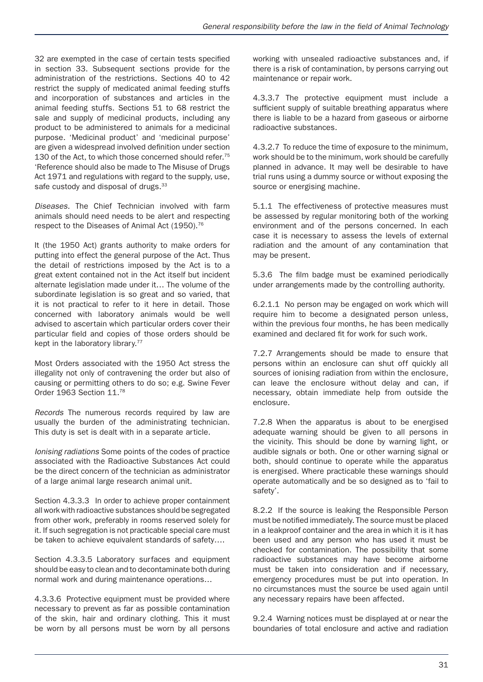32 are exempted in the case of certain tests specified in section 33. Subsequent sections provide for the administration of the restrictions. Sections 40 to 42 restrict the supply of medicated animal feeding stuffs and incorporation of substances and articles in the animal feeding stuffs. Sections 51 to 68 restrict the sale and supply of medicinal products, including any product to be administered to animals for a medicinal purpose. 'Medicinal product' and 'medicinal purpose' are given a widespread involved definition under section 130 of the Act, to which those concerned should refer.<sup>75</sup> 'Reference should also be made to The Misuse of Drugs Act 1971 and regulations with regard to the supply, use, safe custody and disposal of drugs.<sup>33</sup>

*Diseases.* The Chief Technician involved with farm animals should need needs to be alert and respecting respect to the Diseases of Animal Act (1950).<sup>76</sup>

It (the 1950 Act) grants authority to make orders for putting into effect the general purpose of the Act. Thus the detail of restrictions imposed by the Act is to a great extent contained not in the Act itself but incident alternate legislation made under it… The volume of the subordinate legislation is so great and so varied, that it is not practical to refer to it here in detail. Those concerned with laboratory animals would be well advised to ascertain which particular orders cover their particular field and copies of those orders should be kept in the laboratory library.<sup>77</sup>

Most Orders associated with the 1950 Act stress the illegality not only of contravening the order but also of causing or permitting others to do so; e.g. Swine Fever Order 1963 Section 11.78

*Records* The numerous records required by law are usually the burden of the administrating technician. This duty is set is dealt with in a separate article.

*Ionising radiations* Some points of the codes of practice associated with the Radioactive Substances Act could be the direct concern of the technician as administrator of a large animal large research animal unit.

Section 4.3.3.3 In order to achieve proper containment all work with radioactive substances should be segregated from other work, preferably in rooms reserved solely for it. If such segregation is not practicable special care must be taken to achieve equivalent standards of safety….

Section 4.3.3.5 Laboratory surfaces and equipment should be easy to clean and to decontaminate both during normal work and during maintenance operations…

4.3.3.6 Protective equipment must be provided where necessary to prevent as far as possible contamination of the skin, hair and ordinary clothing. This it must be worn by all persons must be worn by all persons working with unsealed radioactive substances and, if there is a risk of contamination, by persons carrying out maintenance or repair work.

4.3.3.7 The protective equipment must include a sufficient supply of suitable breathing apparatus where there is liable to be a hazard from gaseous or airborne radioactive substances.

4.3.2.7 To reduce the time of exposure to the minimum, work should be to the minimum, work should be carefully planned in advance. It may well be desirable to have trial runs using a dummy source or without exposing the source or energising machine.

5.1.1 The effectiveness of protective measures must be assessed by regular monitoring both of the working environment and of the persons concerned. In each case it is necessary to assess the levels of external radiation and the amount of any contamination that may be present.

5.3.6 The film badge must be examined periodically under arrangements made by the controlling authority.

6.2.1.1 No person may be engaged on work which will require him to become a designated person unless, within the previous four months, he has been medically examined and declared fit for work for such work.

7.2.7 Arrangements should be made to ensure that persons within an enclosure can shut off quickly all sources of ionising radiation from within the enclosure, can leave the enclosure without delay and can, if necessary, obtain immediate help from outside the enclosure.

7.2.8 When the apparatus is about to be energised adequate warning should be given to all persons in the vicinity. This should be done by warning light, or audible signals or both. One or other warning signal or both, should continue to operate while the apparatus is energised. Where practicable these warnings should operate automatically and be so designed as to 'fail to safety'.

8.2.2 If the source is leaking the Responsible Person must be notified immediately. The source must be placed in a leakproof container and the area in which it is it has been used and any person who has used it must be checked for contamination. The possibility that some radioactive substances may have become airborne must be taken into consideration and if necessary, emergency procedures must be put into operation. In no circumstances must the source be used again until any necessary repairs have been affected.

9.2.4 Warning notices must be displayed at or near the boundaries of total enclosure and active and radiation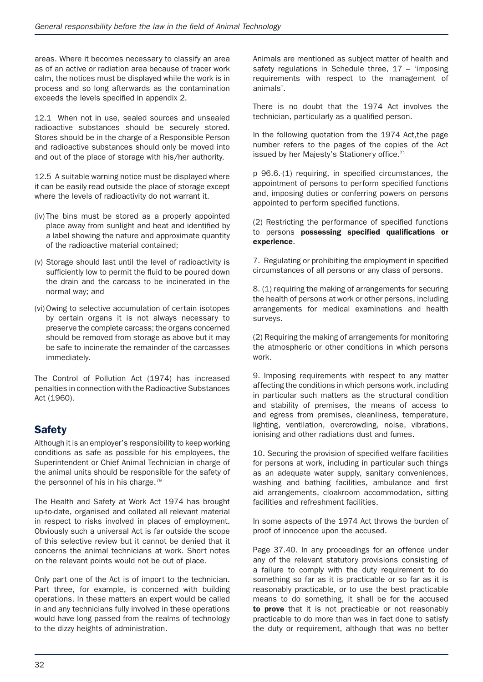areas. Where it becomes necessary to classify an area as of an active or radiation area because of tracer work calm, the notices must be displayed while the work is in process and so long afterwards as the contamination exceeds the levels specified in appendix 2.

12.1 When not in use, sealed sources and unsealed radioactive substances should be securely stored. Stores should be in the charge of a Responsible Person and radioactive substances should only be moved into and out of the place of storage with his/her authority.

12.5 A suitable warning notice must be displayed where it can be easily read outside the place of storage except where the levels of radioactivity do not warrant it.

- (iv) The bins must be stored as a properly appointed place away from sunlight and heat and identified by a label showing the nature and approximate quantity of the radioactive material contained;
- (v) Storage should last until the level of radioactivity is sufficiently low to permit the fluid to be poured down the drain and the carcass to be incinerated in the normal way; and
- (vi)Owing to selective accumulation of certain isotopes by certain organs it is not always necessary to preserve the complete carcass; the organs concerned should be removed from storage as above but it may be safe to incinerate the remainder of the carcasses immediately.

The Control of Pollution Act (1974) has increased penalties in connection with the Radioactive Substances Act (1960).

# **Safety**

Although it is an employer's responsibility to keep working conditions as safe as possible for his employees, the Superintendent or Chief Animal Technician in charge of the animal units should be responsible for the safety of the personnel of his in his charge.<sup>79</sup>

The Health and Safety at Work Act 1974 has brought up-to-date, organised and collated all relevant material in respect to risks involved in places of employment. Obviously such a universal Act is far outside the scope of this selective review but it cannot be denied that it concerns the animal technicians at work. Short notes on the relevant points would not be out of place.

Only part one of the Act is of import to the technician. Part three, for example, is concerned with building operations. In these matters an expert would be called in and any technicians fully involved in these operations would have long passed from the realms of technology to the dizzy heights of administration.

Animals are mentioned as subject matter of health and safety regulations in Schedule three, 17 – 'imposing requirements with respect to the management of animals'.

There is no doubt that the 1974 Act involves the technician, particularly as a qualified person.

In the following quotation from the 1974 Act,the page number refers to the pages of the copies of the Act issued by her Majesty's Stationery office.<sup>71</sup>

p 96.6.-(1) requiring, in specified circumstances, the appointment of persons to perform specified functions and, imposing duties or conferring powers on persons appointed to perform specified functions.

#### (2) Restricting the performance of specified functions to persons possessing specified qualifications or experience.

7. Regulating or prohibiting the employment in specified circumstances of all persons or any class of persons.

8. (1) requiring the making of arrangements for securing the health of persons at work or other persons, including arrangements for medical examinations and health surveys.

(2) Requiring the making of arrangements for monitoring the atmospheric or other conditions in which persons work.

9. Imposing requirements with respect to any matter affecting the conditions in which persons work, including in particular such matters as the structural condition and stability of premises, the means of access to and egress from premises, cleanliness, temperature, lighting, ventilation, overcrowding, noise, vibrations, ionising and other radiations dust and fumes.

10. Securing the provision of specified welfare facilities for persons at work, including in particular such things as an adequate water supply, sanitary conveniences, washing and bathing facilities, ambulance and first aid arrangements, cloakroom accommodation, sitting facilities and refreshment facilities.

In some aspects of the 1974 Act throws the burden of proof of innocence upon the accused.

Page 37.40. In any proceedings for an offence under any of the relevant statutory provisions consisting of a failure to comply with the duty requirement to do something so far as it is practicable or so far as it is reasonably practicable, or to use the best practicable means to do something, it shall be for the accused to prove that it is not practicable or not reasonably practicable to do more than was in fact done to satisfy the duty or requirement, although that was no better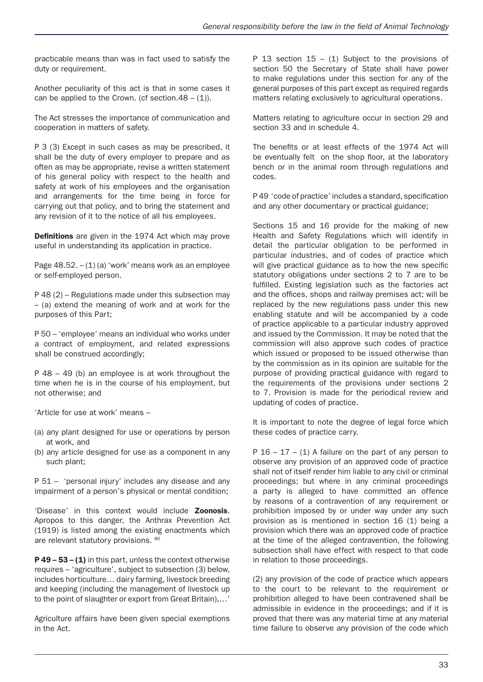practicable means than was in fact used to satisfy the duty or requirement.

Another peculiarity of this act is that in some cases it can be applied to the Crown. (cf section.48 –  $(1)$ ).

The Act stresses the importance of communication and cooperation in matters of safety.

P 3 (3) Except in such cases as may be prescribed, it shall be the duty of every employer to prepare and as often as may be appropriate, revise a written statement of his general policy with respect to the health and safety at work of his employees and the organisation and arrangements for the time being in force for carrying out that policy, and to bring the statement and any revision of it to the notice of all his employees.

Definitions are given in the 1974 Act which may prove useful in understanding its application in practice.

Page  $48.52 - (1)$  (a) 'work' means work as an employee or self-employed person.

P 48 (2) – Regulations made under this subsection may – (a) extend the meaning of work and at work for the purposes of this Part;

P 50 – 'employee' means an individual who works under a contract of employment, and related expressions shall be construed accordingly;

P 48 – 49 (b) an employee is at work throughout the time when he is in the course of his employment, but not otherwise; and

'Article for use at work' means –

- (a) any plant designed for use or operations by person at work, and
- (b) any article designed for use as a component in any such plant;

P 51 – 'personal injury' includes any disease and any impairment of a person's physical or mental condition;

'Disease' in this context would include Zoonosis. Apropos to this danger, the Anthrax Prevention Act (1919) is listed among the existing enactments which are relevant statutory provisions. 80

 $P$  49 – 53 – (1) in this part, unless the context otherwise requires – 'agriculture', subject to subsection (3) below, includes horticulture… dairy farming, livestock breeding and keeping (including the management of livestock up to the point of slaughter or export from Great Britain),…'

Agriculture affairs have been given special exemptions in the Act.

P 13 section  $15 - (1)$  Subject to the provisions of section 50 the Secretary of State shall have power to make regulations under this section for any of the general purposes of this part except as required regards matters relating exclusively to agricultural operations.

Matters relating to agriculture occur in section 29 and section 33 and in schedule 4.

The benefits or at least effects of the 1974 Act will be eventually felt on the shop floor, at the laboratory bench or in the animal room through regulations and codes.

P 49 'code of practice' includes a standard, specification and any other documentary or practical guidance;

Sections 15 and 16 provide for the making of new Health and Safety Regulations which will identify in detail the particular obligation to be performed in particular industries, and of codes of practice which will give practical guidance as to how the new specific statutory obligations under sections 2 to 7 are to be fulfilled. Existing legislation such as the factories act and the offices, shops and railway premises act; will be replaced by the new regulations pass under this new enabling statute and will be accompanied by a code of practice applicable to a particular industry approved and issued by the Commission. It may be noted that the commission will also approve such codes of practice which issued or proposed to be issued otherwise than by the commission as in its opinion are suitable for the purpose of providing practical guidance with regard to the requirements of the provisions under sections 2 to 7. Provision is made for the periodical review and updating of codes of practice.

It is important to note the degree of legal force which these codes of practice carry.

P  $16 - 17 - (1)$  A failure on the part of any person to observe any provision of an approved code of practice shall not of itself render him liable to any civil or criminal proceedings; but where in any criminal proceedings a party is alleged to have committed an offence by reasons of a contravention of any requirement or prohibition imposed by or under way under any such provision as is mentioned in section 16 (1) being a provision which there was an approved code of practice at the time of the alleged contravention, the following subsection shall have effect with respect to that code in relation to those proceedings.

(2) any provision of the code of practice which appears to the court to be relevant to the requirement or prohibition alleged to have been contravened shall be admissible in evidence in the proceedings; and if it is proved that there was any material time at any material time failure to observe any provision of the code which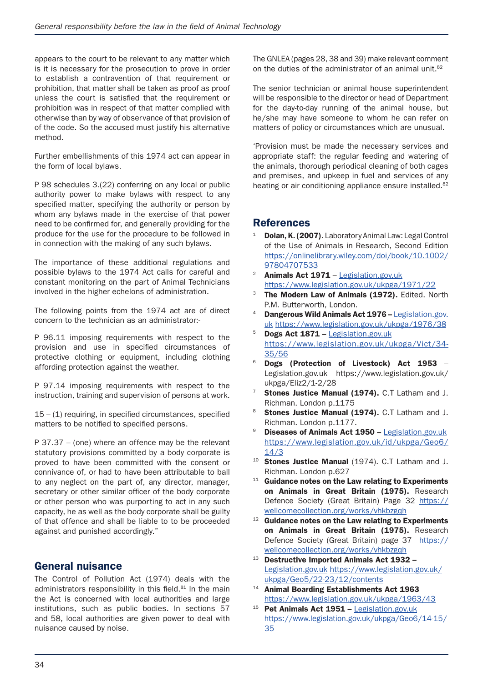appears to the court to be relevant to any matter which is it is necessary for the prosecution to prove in order to establish a contravention of that requirement or prohibition, that matter shall be taken as proof as proof unless the court is satisfied that the requirement or prohibition was in respect of that matter complied with otherwise than by way of observance of that provision of of the code. So the accused must justify his alternative method.

Further embellishments of this 1974 act can appear in the form of local bylaws.

P 98 schedules 3.(22) conferring on any local or public authority power to make bylaws with respect to any specified matter, specifying the authority or person by whom any bylaws made in the exercise of that power need to be confirmed for, and generally providing for the produce for the use for the procedure to be followed in in connection with the making of any such bylaws.

The importance of these additional regulations and possible bylaws to the 1974 Act calls for careful and constant monitoring on the part of Animal Technicians involved in the higher echelons of administration.

The following points from the 1974 act are of direct concern to the technician as an administrator:-

P 96.11 imposing requirements with respect to the provision and use in specified circumstances of protective clothing or equipment, including clothing affording protection against the weather.

P 97.14 imposing requirements with respect to the instruction, training and supervision of persons at work.

15 – (1) requiring, in specified circumstances, specified matters to be notified to specified persons.

P 37.37 – (one) where an offence may be the relevant statutory provisions committed by a body corporate is proved to have been committed with the consent or connivance of, or had to have been attributable to ball to any neglect on the part of, any director, manager, secretary or other similar officer of the body corporate or other person who was purporting to act in any such capacity, he as well as the body corporate shall be guilty of that offence and shall be liable to to be proceeded against and punished accordingly."

### General nuisance

The Control of Pollution Act (1974) deals with the administrators responsibility in this field.<sup>81</sup> In the main the Act is concerned with local authorities and large institutions, such as public bodies. In sections 57 and 58, local authorities are given power to deal with nuisance caused by noise.

The GNLEA (pages 28, 38 and 39) make relevant comment on the duties of the administrator of an animal unit.<sup>82</sup>

The senior technician or animal house superintendent will be responsible to the director or head of Department for the day-to-day running of the animal house, but he/she may have someone to whom he can refer on matters of policy or circumstances which are unusual.

'Provision must be made the necessary services and appropriate staff: the regular feeding and watering of the animals, thorough periodical cleaning of both cages and premises, and upkeep in fuel and services of any heating or air conditioning appliance ensure installed.<sup>82</sup>

# **References**

- <sup>1</sup> Dolan, K. (2007). Laboratory Animal Law: Legal Control of the Use of Animals in Research, Second Edition https://onlinelibrary.wiley.com/doi/book/10.1002/ 97804707533
- <sup>2</sup> Animals Act  $1971$  Legislation.gov.uk https://www.legislation.gov.uk/ukpga/1971/22
- The Modern Law of Animals (1972). Edited. North P.M. Butterworth, London.
- Dangerous Wild Animals Act 1976 Legislation.gov. uk https://www.legislation.gov.uk/ukpga/1976/38
- Dogs Act 1871 Legislation.gov.uk https://www.legislation.gov.uk/ukpga/Vict/34- 35/56
- <sup>6</sup> Dogs (Protection of Livestock) Act 1953 Legislation.gov.uk https://www.legislation.gov.uk/ ukpga/Eliz2/1-2/28
- Stones Justice Manual (1974). C.T Latham and J. Richman. London p.1175
- 8 Stones Justice Manual (1974). C.T Latham and J. Richman. London p.1177.
- <sup>9</sup> Diseases of Animals Act 1950 Legislation.gov.uk https://www.legislation.gov.uk/id/ukpga/Geo6/ 14/3
- 10 Stones Justice Manual (1974). C.T Latham and J. Richman. London p.627
- $11$  Guidance notes on the Law relating to Experiments on Animals in Great Britain (1975). Research Defence Society (Great Britain) Page 32 https:// wellcomecollection.org/works/vhkbzgqh
- <sup>12</sup> Guidance notes on the Law relating to Experiments on Animals in Great Britain (1975). Research Defence Society (Great Britain) page 37 https:// wellcomecollection.org/works/vhkbzgqh
- $13$  Destructive Imported Animals Act 1932 -Legislation.gov.uk https://www.legislation.gov.uk/ ukpga/Geo5/22-23/12/contents
- 14 Animal Boarding Establishments Act 1963 https://www.legislation.gov.uk/ukpga/1963/43
- <sup>15</sup> Pet Animals Act 1951 Legislation.gov.uk https://www.legislation.gov.uk/ukpga/Geo6/14-15/ 35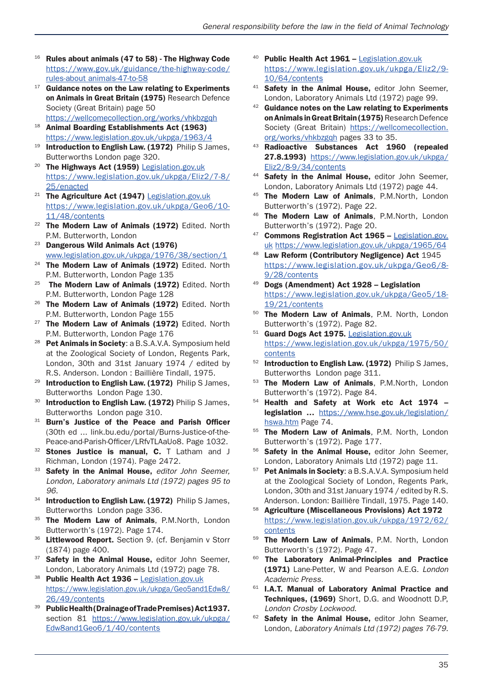- $16$  Rules about animals (47 to 58) The Highway Code https://www.gov.uk/guidance/the-highway-code/ rules-about animals-47-to-58
- $17$  Guidance notes on the Law relating to Experiments on Animals in Great Britain (1975) Research Defence Society (Great Britain) page 50
- https://wellcomecollection.org/works/vhkbzgqh <sup>18</sup> Animal Boarding Establishments Act (1963) https://www.legislation.gov.uk/ukpga/1963/4
- $19$  Introduction to English Law. (1972) Philip S James, Butterworths London page 320.
- <sup>20</sup> The Highways Act (1959) Legislation.gov.uk https://www.legislation.gov.uk/ukpga/Eliz2/7-8/ 25/enacted
- <sup>21</sup> The Agriculture Act (1947) Legislation.gov.uk https://www.legislation.gov.uk/ukpga/Geo6/10- 11/48/contents
- <sup>22</sup> The Modern Law of Animals (1972) Edited. North P.M. Butterworth, London
- <sup>23</sup> Dangerous Wild Animals Act (1976) www.legislation.gov.uk/ukpga/1976/38/section/1
- <sup>24</sup> The Modern Law of Animals (1972) Edited. North P.M. Butterworth, London Page 135<br><sup>25</sup> The Modern Law of Animals (1972) Edited. North
- 
- P.M. Butterworth, London Page 128<br><sup>26</sup> The Modern Law of Animals (1972) Edited. North P.M. Butterworth, London Page 155<br><sup>27</sup> The Modern Law of Animals (1972) Edited. North
- P.M. Butterworth, London Page 176
- <sup>28</sup> Pet Animals in Society: a B.S.A.V.A. Symposium held at the Zoological Society of London, Regents Park, London, 30th and 31st January 1974 / edited by R.S. Anderson. London : Baillière Tindall, 1975.
- <sup>29</sup> Introduction to English Law. (1972) Philip S James, Butterworths London Page 130.
- 30 Introduction to English Law. (1972) Philip S James, Butterworths London page 310.
- 31 Burn's Justice of the Peace and Parish Officer (30th ed ... link.bu.edu/portal/Burns-Justice-of-the-Peace-and-Parish-Officer/LRfvTLAaUo8. Page 1032.
- Stones Justice is manual, C. T Latham and J Richman, London (1974). Page 2472.
- <sup>33</sup> Safety in the Animal House, *editor John Seemer, London, Laboratory animals Ltd (1972) pages 95 to 96.*
- 34 Introduction to English Law. (1972) Philip S James, Butterworths London page 336.
- <sup>35</sup> The Modern Law of Animals, P.M.North, London Butterworth's (1972). Page 174.
- 36 Littlewood Report. Section 9. (cf. Benjamin v Storr
- (1874) page 400.<br><sup>37</sup> **Safety in the Animal House,** editor John Seemer, London, Laboratory Animals Ltd (1972) page 78.
- 38 Public Health Act 1936 Legislation.gov.uk https://www.legislation.gov.uk/ukpga/Geo5and1Edw8/ 26/49/contents
- Public Health (Drainage of Trade Premises) Act 1937. section 81 https://www.legislation.gov.uk/ukpga/ Edw8and1Geo6/1/40/contents
- 40 Public Health Act 1961 Legislation.gov.uk https://www.legislation.gov.uk/ukpga/Eliz2/9- 10/64/contents
- <sup>41</sup> Safety in the Animal House, editor John Seemer, London, Laboratory Animals Ltd (1972) page 99.
- $42$  Guidance notes on the Law relating to Experiments on Animals in Great Britain (1975) Research Defence Society (Great Britain) https://wellcomecollection. org/works/vhkbzgqh pages 33 to 35.
- <sup>43</sup> Radioactive Substances Act 1960 (repealed 27.8.1993) https://www.legislation.gov.uk/ukpga/ Eliz2/8-9/34/contents
- Safety in the Animal House, editor John Seemer, London, Laboratory Animals Ltd (1972) page 44.
- 45 The Modern Law of Animals, P.M.North, London Butterworth's (1972). Page 22.
- 46 The Modern Law of Animals, P.M.North, London Butterworth's (1972). Page 20.<br><sup>47</sup> **Commons Registration Act 1965 –** Legislation.gov.
- uk https://www.legislation.gov.uk/ukpga/1965/64
- 48 Law Reform (Contributory Negligence) Act 1945 https://www.legislation.gov.uk/ukpga/Geo6/8- 9/28/contents
- <sup>49</sup> Dogs (Amendment) Act 1928 Legislation https://www.legislation.gov.uk/ukpga/Geo5/18- 19/21/contents
- 50 The Modern Law of Animals, P.M. North, London Butterworth's (1972). Page 82.
- 51 Guard Dogs Act 1975. Legislation.gov.uk https://www.legislation.gov.uk/ukpga/1975/50/ contents
- Introduction to English Law. (1972) Philip S James, Butterworths London page 311.
- The Modern Law of Animals, P.M.North, London
- Butterworth's (1972). Page 84.<br><sup>54</sup> Health and Safety at Work etc Act 1974 legislation … https://www.hse.gov.uk/legislation/ hswa.htm Page 74.
- <sup>55</sup> The Modern Law of Animals, P.M. North, London Butterworth's (1972). Page 177.
- 56 Safety in the Animal House, editor John Seemer, London, Laboratory Animals Ltd (1972) page 11.
- 57 Pet Animals in Society: a B.S.A.V.A. Symposium held at the Zoological Society of London, Regents Park, London, 30th and 31st January 1974 / edited by R.S. Anderson. London: Baillière Tindall, 1975. Page 140.
- <sup>58</sup> Agriculture (Miscellaneous Provisions) Act 1972 https://www.legislation.gov.uk/ukpga/1972/62/ contents
- 59 The Modern Law of Animals, P.M. North, London Butterworth's (1972). Page 47.
- The Laboratory Animal-Principles and Practice (1971) Lane-Petter, W and Pearson A.E.G. *London*
- Academic Press.<br>**I.A.T. Manual of Laboratory Animal Practice and** Techniques, (1969) Short, D.G. and Woodnott D.P, *London Crosby Lockwood. 62 Safety in the Animal House, editor John Seamer.*
- London, *Laboratory Animals Ltd (1972) pages 76-79.*